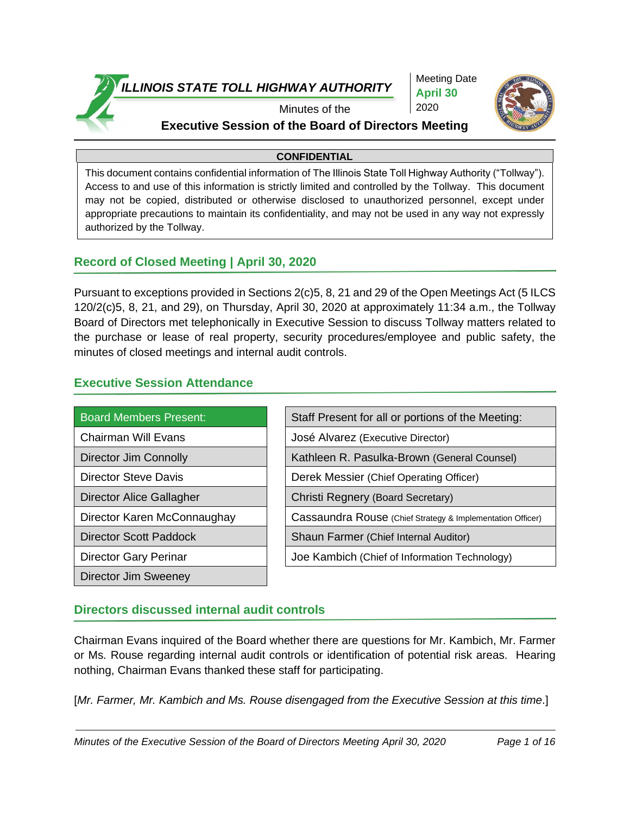

Meeting Date **April 30** 2020



#### Minutes of the **Executive Session of the Board of Directors Meeting**

#### **CONFIDENTIAL**

This document contains confidential information of The Illinois State Toll Highway Authority ("Tollway"). Access to and use of this information is strictly limited and controlled by the Tollway. This document may not be copied, distributed or otherwise disclosed to unauthorized personnel, except under appropriate precautions to maintain its confidentiality, and may not be used in any way not expressly authorized by the Tollway.

#### **Record of Closed Meeting | April 30, 2020**

Pursuant to exceptions provided in Sections 2(c)5, 8, 21 and 29 of the Open Meetings Act (5 ILCS 120/2(c)5, 8, 21, and 29), on Thursday, April 30, 2020 at approximately 11:34 a.m., the Tollway Board of Directors met telephonically in Executive Session to discuss Tollway matters related to the purchase or lease of real property, security procedures/employee and public safety, the minutes of closed meetings and internal audit controls.

#### **Executive Session Attendance**

| <b>Board Members Present:</b> | Staff Present for all or portions of the Meeting:          |
|-------------------------------|------------------------------------------------------------|
| <b>Chairman Will Evans</b>    | José Alvarez (Executive Director)                          |
| Director Jim Connolly         | Kathleen R. Pasulka-Brown (General Counsel)                |
| <b>Director Steve Davis</b>   | Derek Messier (Chief Operating Officer)                    |
| Director Alice Gallagher      | Christi Regnery (Board Secretary)                          |
| Director Karen McConnaughay   | Cassaundra Rouse (Chief Strategy & Implementation Officer) |
| <b>Director Scott Paddock</b> | Shaun Farmer (Chief Internal Auditor)                      |
| <b>Director Gary Perinar</b>  | Joe Kambich (Chief of Information Technology)              |
| Director Jim Sweeney          |                                                            |

#### **Directors discussed internal audit controls**

Chairman Evans inquired of the Board whether there are questions for Mr. Kambich, Mr. Farmer or Ms. Rouse regarding internal audit controls or identification of potential risk areas. Hearing nothing, Chairman Evans thanked these staff for participating.

[*Mr. Farmer, Mr. Kambich and Ms. Rouse disengaged from the Executive Session at this time*.]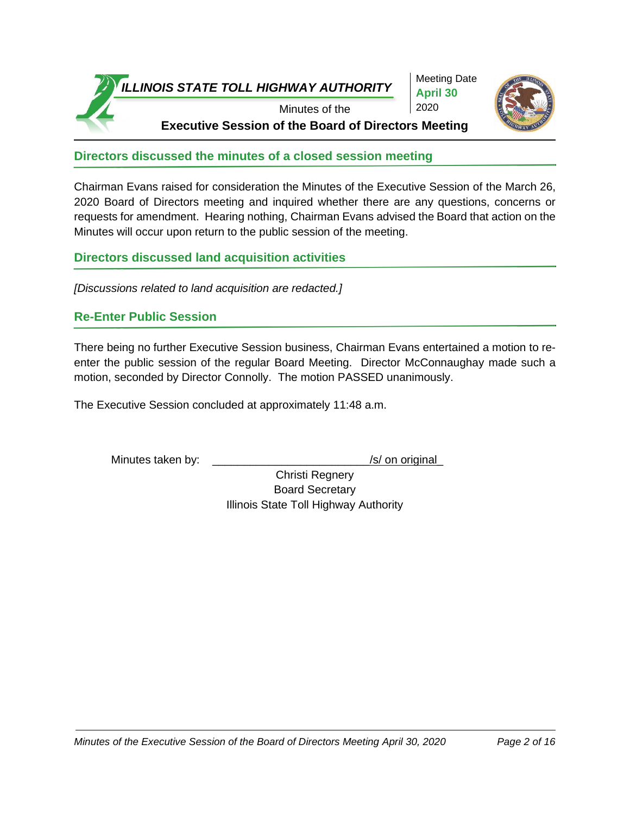

Meeting Date **April 30** 2020



**Executive Session of the Board of Directors Meeting**

**Directors discussed the minutes of a closed session meeting**

Chairman Evans raised for consideration the Minutes of the Executive Session of the March 26, 2020 Board of Directors meeting and inquired whether there are any questions, concerns or requests for amendment. Hearing nothing, Chairman Evans advised the Board that action on the Minutes will occur upon return to the public session of the meeting.

**Directors discussed land acquisition activities**

*[Discussions related to land acquisition are redacted.]*

#### **Re-Enter Public Session**

There being no further Executive Session business, Chairman Evans entertained a motion to reenter the public session of the regular Board Meeting. Director McConnaughay made such a motion, seconded by Director Connolly. The motion PASSED unanimously.

The Executive Session concluded at approximately 11:48 a.m.

Minutes taken by: \_\_\_\_\_\_\_\_\_\_\_\_\_\_\_\_\_\_\_\_\_\_\_\_\_\_\_\_\_\_\_/s/ on original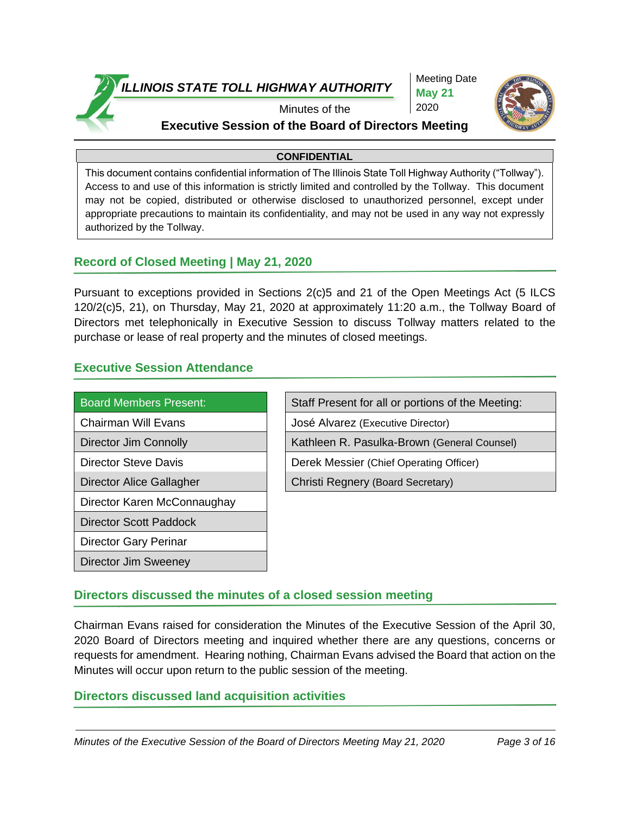

Meeting Date **May 21** 2020



#### Minutes of the **Executive Session of the Board of Directors Meeting**

#### **CONFIDENTIAL**

This document contains confidential information of The Illinois State Toll Highway Authority ("Tollway"). Access to and use of this information is strictly limited and controlled by the Tollway. This document may not be copied, distributed or otherwise disclosed to unauthorized personnel, except under appropriate precautions to maintain its confidentiality, and may not be used in any way not expressly authorized by the Tollway.

#### **Record of Closed Meeting | May 21, 2020**

Pursuant to exceptions provided in Sections 2(c)5 and 21 of the Open Meetings Act (5 ILCS 120/2(c)5, 21), on Thursday, May 21, 2020 at approximately 11:20 a.m., the Tollway Board of Directors met telephonically in Executive Session to discuss Tollway matters related to the purchase or lease of real property and the minutes of closed meetings.

#### **Executive Session Attendance**

Director Jim Sweeney

| <b>Board Members Present:</b> | Staff Present for all or portions of the Meeting: |
|-------------------------------|---------------------------------------------------|
| <b>Chairman Will Evans</b>    | José Alvarez (Executive Director)                 |
| Director Jim Connolly         | Kathleen R. Pasulka-Brown (General Counsel)       |
| <b>Director Steve Davis</b>   | Derek Messier (Chief Operating Officer)           |
| Director Alice Gallagher      | Christi Regnery (Board Secretary)                 |
| Director Karen McConnaughay   |                                                   |
| <b>Director Scott Paddock</b> |                                                   |
| Director Gary Perinar         |                                                   |

#### **Directors discussed the minutes of a closed session meeting**

Chairman Evans raised for consideration the Minutes of the Executive Session of the April 30, 2020 Board of Directors meeting and inquired whether there are any questions, concerns or requests for amendment. Hearing nothing, Chairman Evans advised the Board that action on the Minutes will occur upon return to the public session of the meeting.

#### **Directors discussed land acquisition activities**

*Minutes of the Executive Session of the Board of Directors Meeting May 21, 2020 Page 3 of 16*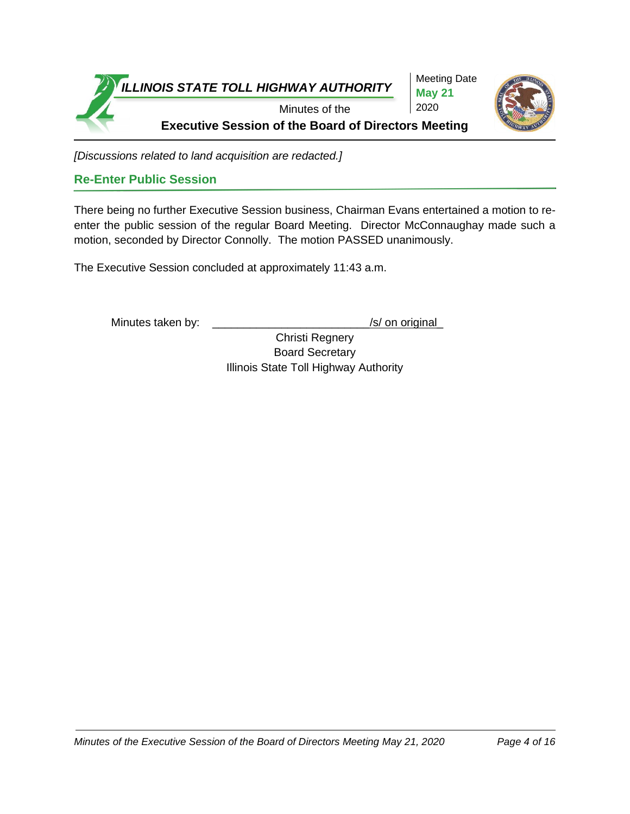

*[Discussions related to land acquisition are redacted.]*

#### **Re-Enter Public Session**

There being no further Executive Session business, Chairman Evans entertained a motion to reenter the public session of the regular Board Meeting. Director McConnaughay made such a motion, seconded by Director Connolly. The motion PASSED unanimously.

The Executive Session concluded at approximately 11:43 a.m.

Minutes taken by: \_\_\_\_\_\_\_\_\_\_\_\_\_\_\_\_\_\_\_\_\_\_\_\_\_\_\_\_\_\_\_/s/ on original

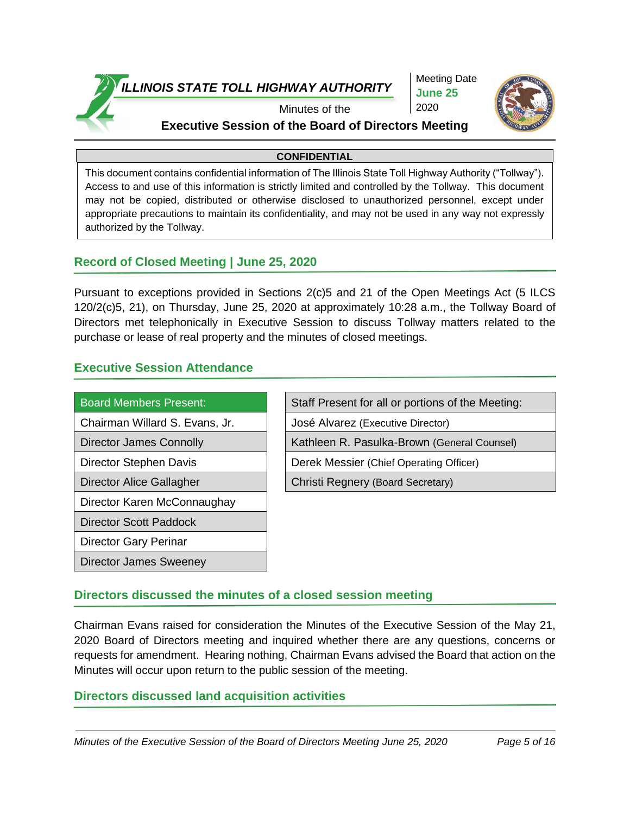

Meeting Date **June 25** 2020



#### Minutes of the **Executive Session of the Board of Directors Meeting**

#### **CONFIDENTIAL**

This document contains confidential information of The Illinois State Toll Highway Authority ("Tollway"). Access to and use of this information is strictly limited and controlled by the Tollway. This document may not be copied, distributed or otherwise disclosed to unauthorized personnel, except under appropriate precautions to maintain its confidentiality, and may not be used in any way not expressly authorized by the Tollway.

#### **Record of Closed Meeting | June 25, 2020**

Pursuant to exceptions provided in Sections 2(c)5 and 21 of the Open Meetings Act (5 ILCS 120/2(c)5, 21), on Thursday, June 25, 2020 at approximately 10:28 a.m., the Tollway Board of Directors met telephonically in Executive Session to discuss Tollway matters related to the purchase or lease of real property and the minutes of closed meetings.

#### **Executive Session Attendance**

Director James Sweeney

| <b>Board Members Present:</b>   | Staff Present for all or portions of the Meeting: |
|---------------------------------|---------------------------------------------------|
| Chairman Willard S. Evans, Jr.  | José Alvarez (Executive Director)                 |
| <b>Director James Connolly</b>  | Kathleen R. Pasulka-Brown (General Counsel)       |
| Director Stephen Davis          | Derek Messier (Chief Operating Officer)           |
| <b>Director Alice Gallagher</b> | Christi Regnery (Board Secretary)                 |
| Director Karen McConnaughay     |                                                   |
| <b>Director Scott Paddock</b>   |                                                   |
| Director Gary Perinar           |                                                   |

#### **Directors discussed the minutes of a closed session meeting**

Chairman Evans raised for consideration the Minutes of the Executive Session of the May 21, 2020 Board of Directors meeting and inquired whether there are any questions, concerns or requests for amendment. Hearing nothing, Chairman Evans advised the Board that action on the Minutes will occur upon return to the public session of the meeting.

#### **Directors discussed land acquisition activities**

*Minutes of the Executive Session of the Board of Directors Meeting June 25, 2020 Page 5 of 16*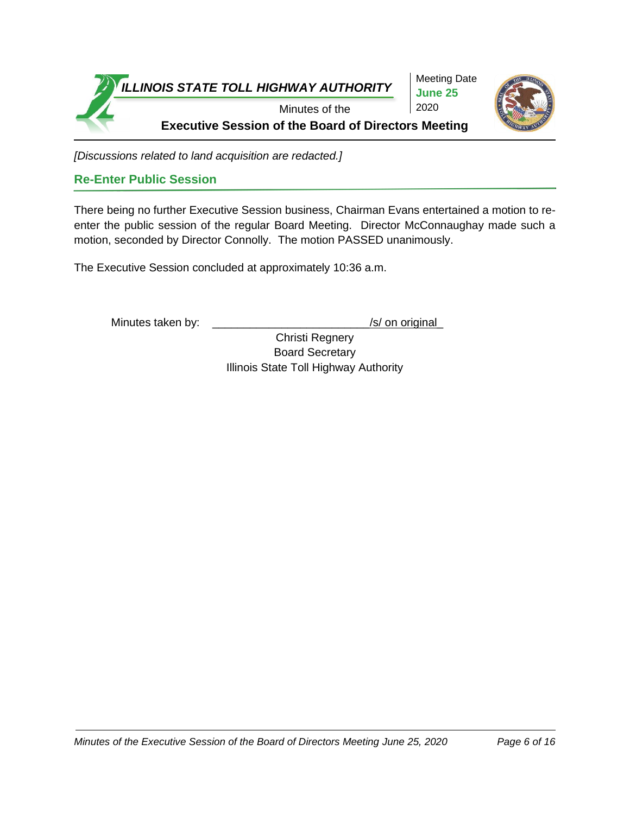

*[Discussions related to land acquisition are redacted.]*

#### **Re-Enter Public Session**

There being no further Executive Session business, Chairman Evans entertained a motion to reenter the public session of the regular Board Meeting. Director McConnaughay made such a motion, seconded by Director Connolly. The motion PASSED unanimously.

The Executive Session concluded at approximately 10:36 a.m.

Minutes taken by: \_\_\_\_\_\_\_\_\_\_\_\_\_\_\_\_\_\_\_\_\_\_\_\_\_\_\_\_\_\_\_/s/ on original

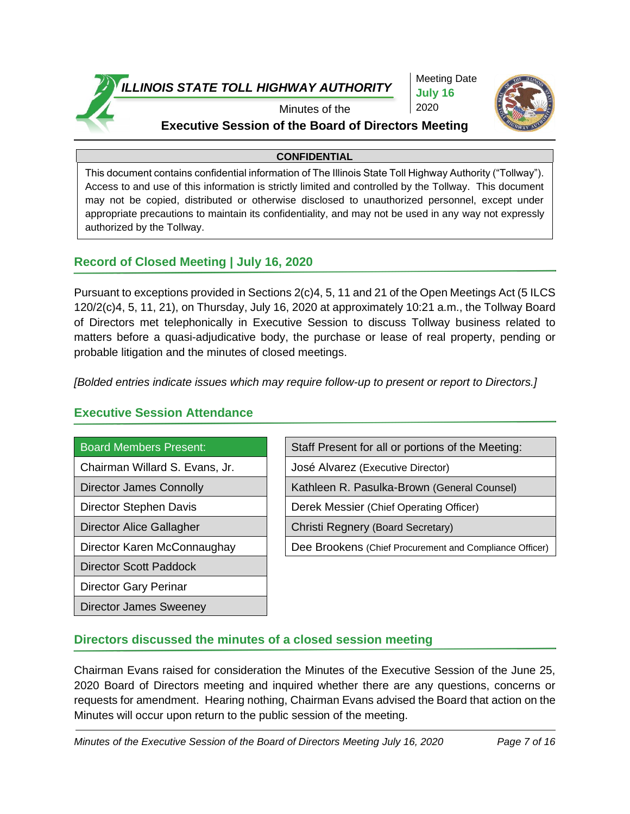

Meeting Date **July 16** 2020



#### Minutes of the **Executive Session of the Board of Directors Meeting**

#### **CONFIDENTIAL**

This document contains confidential information of The Illinois State Toll Highway Authority ("Tollway"). Access to and use of this information is strictly limited and controlled by the Tollway. This document may not be copied, distributed or otherwise disclosed to unauthorized personnel, except under appropriate precautions to maintain its confidentiality, and may not be used in any way not expressly authorized by the Tollway.

#### **Record of Closed Meeting | July 16, 2020**

Pursuant to exceptions provided in Sections 2(c)4, 5, 11 and 21 of the Open Meetings Act (5 ILCS 120/2(c)4, 5, 11, 21), on Thursday, July 16, 2020 at approximately 10:21 a.m., the Tollway Board of Directors met telephonically in Executive Session to discuss Tollway business related to matters before a quasi-adjudicative body, the purchase or lease of real property, pending or probable litigation and the minutes of closed meetings.

*[Bolded entries indicate issues which may require follow-up to present or report to Directors.]*

#### **Executive Session Attendance**

#### Board Members Present:

- Chairman Willard S. Evans, Jr.
- Director James Connolly
- Director Stephen Davis
- Director Alice Gallagher
- Director Karen McConnaughay

Director Scott Paddock

Director Gary Perinar

Director James Sweeney

| Staff Present for all or portions of the Meeting:       |
|---------------------------------------------------------|
| José Alvarez (Executive Director)                       |
| Kathleen R. Pasulka-Brown (General Counsel)             |
| Derek Messier (Chief Operating Officer)                 |
| Christi Regnery (Board Secretary)                       |
| Dee Brookens (Chief Procurement and Compliance Officer) |
|                                                         |

#### **Directors discussed the minutes of a closed session meeting**

Chairman Evans raised for consideration the Minutes of the Executive Session of the June 25, 2020 Board of Directors meeting and inquired whether there are any questions, concerns or requests for amendment. Hearing nothing, Chairman Evans advised the Board that action on the Minutes will occur upon return to the public session of the meeting.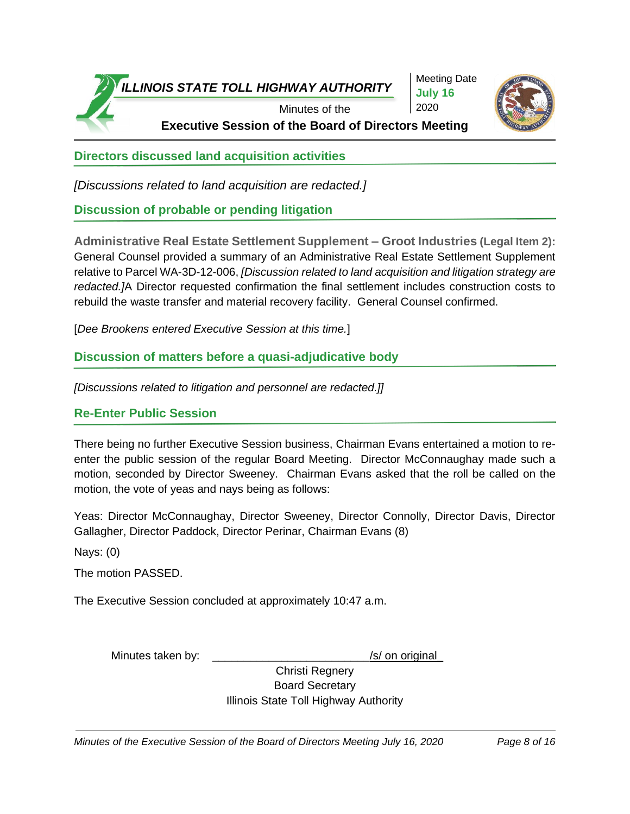

Meeting Date **July 16** 2020



**Executive Session of the Board of Directors Meeting**

**Directors discussed land acquisition activities**

*[Discussions related to land acquisition are redacted.]*

**Discussion of probable or pending litigation**

**Administrative Real Estate Settlement Supplement – Groot Industries (Legal Item 2):** General Counsel provided a summary of an Administrative Real Estate Settlement Supplement relative to Parcel WA-3D-12-006, *[Discussion related to land acquisition and litigation strategy are redacted.]*A Director requested confirmation the final settlement includes construction costs to rebuild the waste transfer and material recovery facility. General Counsel confirmed.

[*Dee Brookens entered Executive Session at this time.*]

**Discussion of matters before a quasi-adjudicative body**

*[Discussions related to litigation and personnel are redacted.]]*

#### **Re-Enter Public Session**

There being no further Executive Session business, Chairman Evans entertained a motion to reenter the public session of the regular Board Meeting. Director McConnaughay made such a motion, seconded by Director Sweeney. Chairman Evans asked that the roll be called on the motion, the vote of yeas and nays being as follows:

Yeas: Director McConnaughay, Director Sweeney, Director Connolly, Director Davis, Director Gallagher, Director Paddock, Director Perinar, Chairman Evans (8)

Nays: (0)

The motion PASSED.

The Executive Session concluded at approximately 10:47 a.m.

Minutes taken by:  $\frac{1}{s}$  /s/ on original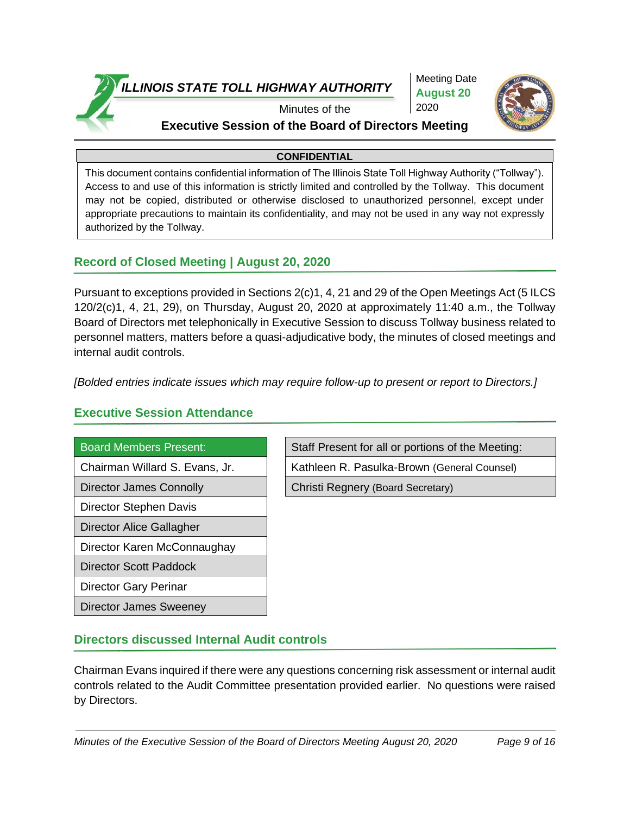

Meeting Date **August 20** 2020



#### Minutes of the **Executive Session of the Board of Directors Meeting**

#### **CONFIDENTIAL**

This document contains confidential information of The Illinois State Toll Highway Authority ("Tollway"). Access to and use of this information is strictly limited and controlled by the Tollway. This document may not be copied, distributed or otherwise disclosed to unauthorized personnel, except under appropriate precautions to maintain its confidentiality, and may not be used in any way not expressly authorized by the Tollway.

#### **Record of Closed Meeting | August 20, 2020**

Pursuant to exceptions provided in Sections 2(c)1, 4, 21 and 29 of the Open Meetings Act (5 ILCS 120/2(c)1, 4, 21, 29), on Thursday, August 20, 2020 at approximately 11:40 a.m., the Tollway Board of Directors met telephonically in Executive Session to discuss Tollway business related to personnel matters, matters before a quasi-adjudicative body, the minutes of closed meetings and internal audit controls.

*[Bolded entries indicate issues which may require follow-up to present or report to Directors.]*

#### **Executive Session Attendance**

# Director James Connolly **Christi Regnery (Board Secretary)**

Director Stephen Davis

- Director Alice Gallagher
- Director Karen McConnaughay

Director Scott Paddock

Director Gary Perinar

Director James Sweeney

Board Members Present: Staff Present for all or portions of the Meeting: Chairman Willard S. Evans, Jr. | Kathleen R. Pasulka-Brown (General Counsel)

#### **Directors discussed Internal Audit controls**

Chairman Evans inquired if there were any questions concerning risk assessment or internal audit controls related to the Audit Committee presentation provided earlier. No questions were raised by Directors.

*Minutes of the Executive Session of the Board of Directors Meeting August 20, 2020 Page 9 of 16*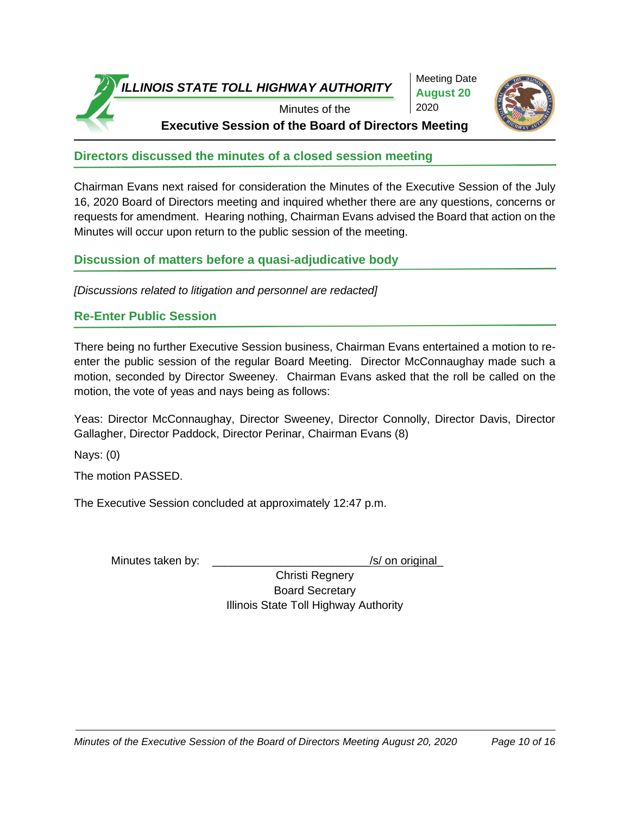

Meeting Date **August 20** 2020



**Directors discussed the minutes of a closed session meeting**

Chairman Evans next raised for consideration the Minutes of the Executive Session of the July 16, 2020 Board of Directors meeting and inquired whether there are any questions, concerns or requests for amendment. Hearing nothing, Chairman Evans advised the Board that action on the Minutes will occur upon return to the public session of the meeting.

**Discussion of matters before a quasi-adjudicative body**

*[Discussions related to litigation and personnel are redacted]*

#### **Re-Enter Public Session**

There being no further Executive Session business, Chairman Evans entertained a motion to reenter the public session of the regular Board Meeting. Director McConnaughay made such a motion, seconded by Director Sweeney. Chairman Evans asked that the roll be called on the motion, the vote of yeas and nays being as follows:

Yeas: Director McConnaughay, Director Sweeney, Director Connolly, Director Davis, Director Gallagher, Director Paddock, Director Perinar, Chairman Evans (8)

Nays: (0)

The motion PASSED.

The Executive Session concluded at approximately 12:47 p.m.

Minutes taken by:  $\frac{1}{s}$  /s/ on original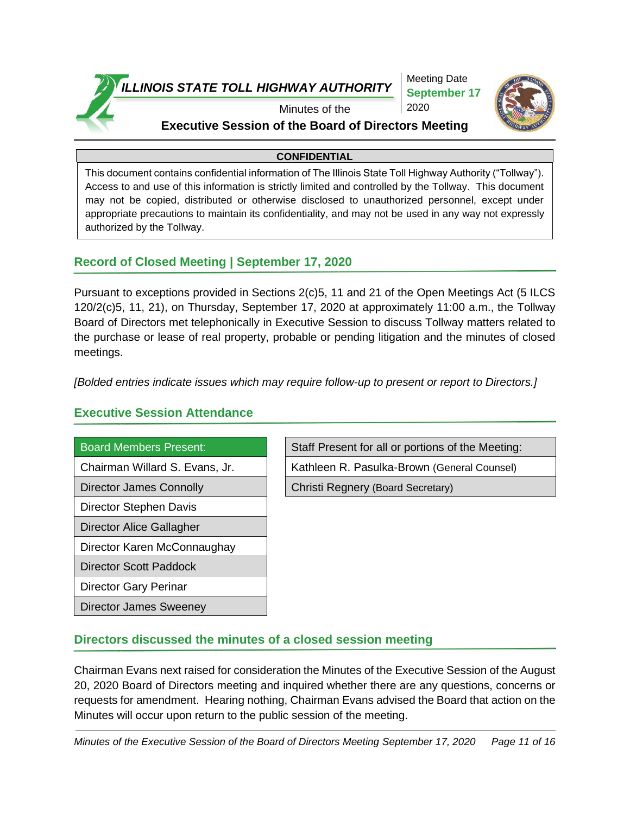

Meeting Date **September 17** 2020



Minutes of the

#### **Executive Session of the Board of Directors Meeting**

#### **CONFIDENTIAL**

This document contains confidential information of The Illinois State Toll Highway Authority ("Tollway"). Access to and use of this information is strictly limited and controlled by the Tollway. This document may not be copied, distributed or otherwise disclosed to unauthorized personnel, except under appropriate precautions to maintain its confidentiality, and may not be used in any way not expressly authorized by the Tollway.

#### **Record of Closed Meeting | September 17, 2020**

Pursuant to exceptions provided in Sections 2(c)5, 11 and 21 of the Open Meetings Act (5 ILCS 120/2(c)5, 11, 21), on Thursday, September 17, 2020 at approximately 11:00 a.m., the Tollway Board of Directors met telephonically in Executive Session to discuss Tollway matters related to the purchase or lease of real property, probable or pending litigation and the minutes of closed meetings.

*[Bolded entries indicate issues which may require follow-up to present or report to Directors.]*

**Executive Session Attendance**

# Director James Connolly **Christi Regnery (Board Secretary)** Director Stephen Davis

Director Alice Gallagher

Director Karen McConnaughay

Director Scott Paddock

Director Gary Perinar

Director James Sweeney

Board Members Present: Staff Present for all or portions of the Meeting: Chairman Willard S. Evans, Jr. | Kathleen R. Pasulka-Brown (General Counsel)

#### **Directors discussed the minutes of a closed session meeting**

Chairman Evans next raised for consideration the Minutes of the Executive Session of the August 20, 2020 Board of Directors meeting and inquired whether there are any questions, concerns or requests for amendment. Hearing nothing, Chairman Evans advised the Board that action on the Minutes will occur upon return to the public session of the meeting.

*Minutes of the Executive Session of the Board of Directors Meeting September 17, 2020 Page 11 of 16*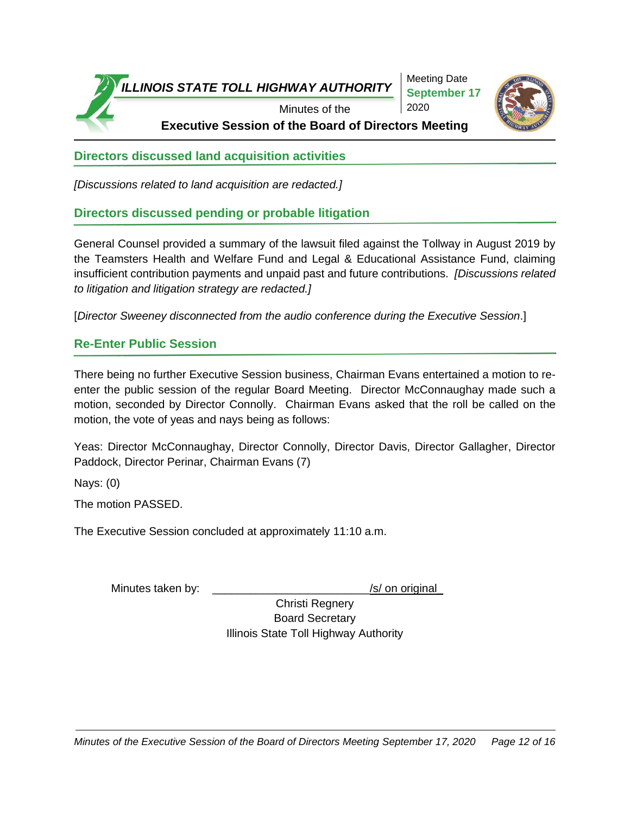

Meeting Date **September 17** 2020



**Executive Session of the Board of Directors Meeting**

**Directors discussed land acquisition activities**

*[Discussions related to land acquisition are redacted.]*

**Directors discussed pending or probable litigation**

General Counsel provided a summary of the lawsuit filed against the Tollway in August 2019 by the Teamsters Health and Welfare Fund and Legal & Educational Assistance Fund, claiming insufficient contribution payments and unpaid past and future contributions. *[Discussions related to litigation and litigation strategy are redacted.]*

[*Director Sweeney disconnected from the audio conference during the Executive Session*.]

#### **Re-Enter Public Session**

There being no further Executive Session business, Chairman Evans entertained a motion to reenter the public session of the regular Board Meeting. Director McConnaughay made such a motion, seconded by Director Connolly. Chairman Evans asked that the roll be called on the motion, the vote of yeas and nays being as follows:

Yeas: Director McConnaughay, Director Connolly, Director Davis, Director Gallagher, Director Paddock, Director Perinar, Chairman Evans (7)

Nays: (0)

The motion PASSED.

The Executive Session concluded at approximately 11:10 a.m.

Minutes taken by: \_\_\_\_\_\_\_\_\_\_\_\_\_\_\_\_\_\_\_\_\_\_\_\_\_\_\_\_\_\_\_/s/ on original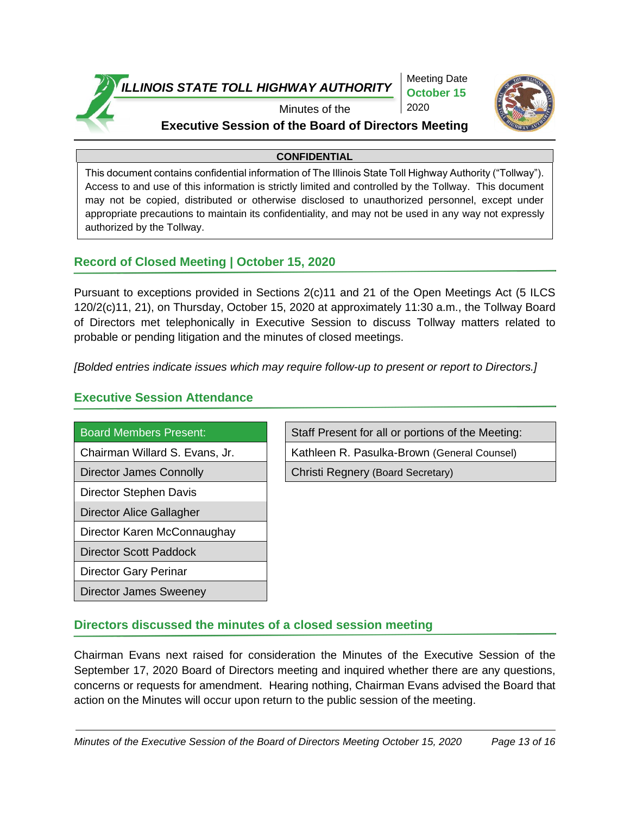

Meeting Date **October 15**  2020



## Minutes of the

### **Executive Session of the Board of Directors Meeting**

#### **CONFIDENTIAL**

This document contains confidential information of The Illinois State Toll Highway Authority ("Tollway"). Access to and use of this information is strictly limited and controlled by the Tollway. This document may not be copied, distributed or otherwise disclosed to unauthorized personnel, except under appropriate precautions to maintain its confidentiality, and may not be used in any way not expressly authorized by the Tollway.

#### **Record of Closed Meeting | October 15, 2020**

Pursuant to exceptions provided in Sections 2(c)11 and 21 of the Open Meetings Act (5 ILCS 120/2(c)11, 21), on Thursday, October 15, 2020 at approximately 11:30 a.m., the Tollway Board of Directors met telephonically in Executive Session to discuss Tollway matters related to probable or pending litigation and the minutes of closed meetings.

*[Bolded entries indicate issues which may require follow-up to present or report to Directors.]*

#### **Executive Session Attendance**

| <b>Board Members Present:</b>  |
|--------------------------------|
| Chairman Willard S. Evans, Jr. |
| Director James Connolly        |
| Director Stephen Davis         |
| Director Alice Gallagher       |
| Director Karen McConnaughay    |
| <b>Director Scott Paddock</b>  |
| Director Gary Perinar          |
| Director James Sweeney         |

Staff Present for all or portions of the Meeting:

Kathleen R. Pasulka-Brown (General Counsel)

Christi Regnery (Board Secretary)

#### **Directors discussed the minutes of a closed session meeting**

Chairman Evans next raised for consideration the Minutes of the Executive Session of the September 17, 2020 Board of Directors meeting and inquired whether there are any questions, concerns or requests for amendment. Hearing nothing, Chairman Evans advised the Board that action on the Minutes will occur upon return to the public session of the meeting.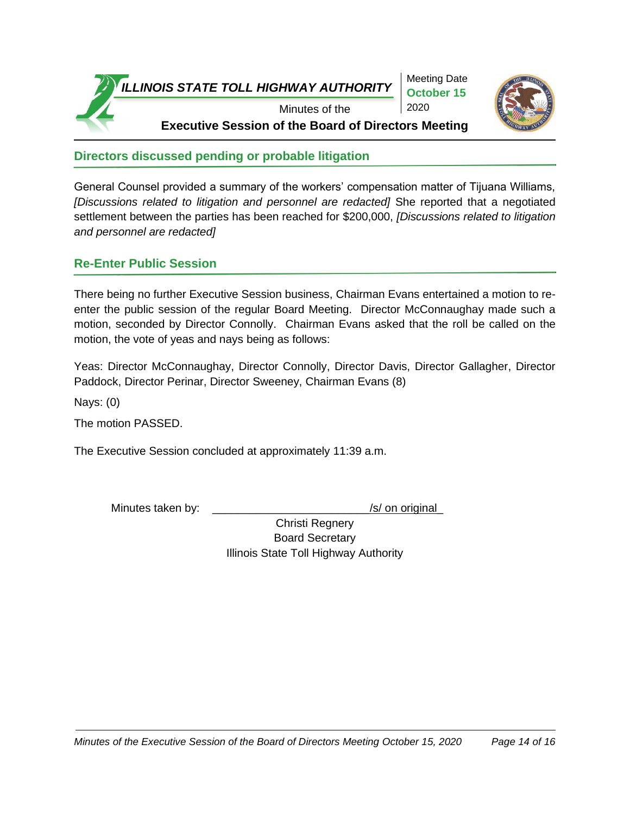



**Directors discussed pending or probable litigation**

General Counsel provided a summary of the workers' compensation matter of Tijuana Williams, *[Discussions related to litigation and personnel are redacted]* She reported that a negotiated settlement between the parties has been reached for \$200,000, *[Discussions related to litigation and personnel are redacted]* 

#### **Re-Enter Public Session**

There being no further Executive Session business, Chairman Evans entertained a motion to reenter the public session of the regular Board Meeting. Director McConnaughay made such a motion, seconded by Director Connolly. Chairman Evans asked that the roll be called on the motion, the vote of yeas and nays being as follows:

Yeas: Director McConnaughay, Director Connolly, Director Davis, Director Gallagher, Director Paddock, Director Perinar, Director Sweeney, Chairman Evans (8)

Nays: (0)

The motion PASSED.

The Executive Session concluded at approximately 11:39 a.m.

Minutes taken by: \_\_\_\_\_\_\_\_\_\_\_\_\_\_\_\_\_\_\_\_\_\_\_\_\_\_\_\_\_\_\_/s/ on original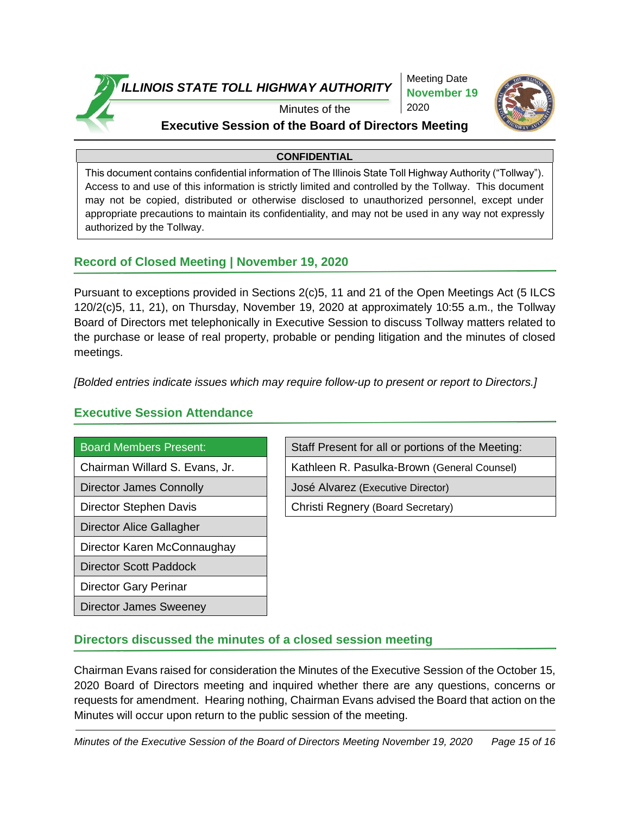

Meeting Date **November 19**  2020



Minutes of the

#### **Executive Session of the Board of Directors Meeting**

#### **CONFIDENTIAL**

This document contains confidential information of The Illinois State Toll Highway Authority ("Tollway"). Access to and use of this information is strictly limited and controlled by the Tollway. This document may not be copied, distributed or otherwise disclosed to unauthorized personnel, except under appropriate precautions to maintain its confidentiality, and may not be used in any way not expressly authorized by the Tollway.

#### **Record of Closed Meeting | November 19, 2020**

Pursuant to exceptions provided in Sections 2(c)5, 11 and 21 of the Open Meetings Act (5 ILCS 120/2(c)5, 11, 21), on Thursday, November 19, 2020 at approximately 10:55 a.m., the Tollway Board of Directors met telephonically in Executive Session to discuss Tollway matters related to the purchase or lease of real property, probable or pending litigation and the minutes of closed meetings.

*[Bolded entries indicate issues which may require follow-up to present or report to Directors.]*

#### **Executive Session Attendance**

- 
- 
- 
- Director Alice Gallagher
- Director Karen McConnaughay
- Director Scott Paddock
- Director Gary Perinar
- Director James Sweeney
- Board Members Present: Staff Present for all or portions of the Meeting: Chairman Willard S. Evans, Jr. | Kathleen R. Pasulka-Brown (General Counsel) Director James Connolly **José Alvarez (Executive Director)** Director Stephen Davis **Christi Regnery (Board Secretary)**

#### **Directors discussed the minutes of a closed session meeting**

Chairman Evans raised for consideration the Minutes of the Executive Session of the October 15, 2020 Board of Directors meeting and inquired whether there are any questions, concerns or requests for amendment. Hearing nothing, Chairman Evans advised the Board that action on the Minutes will occur upon return to the public session of the meeting.

*Minutes of the Executive Session of the Board of Directors Meeting November 19, 2020 Page 15 of 16*